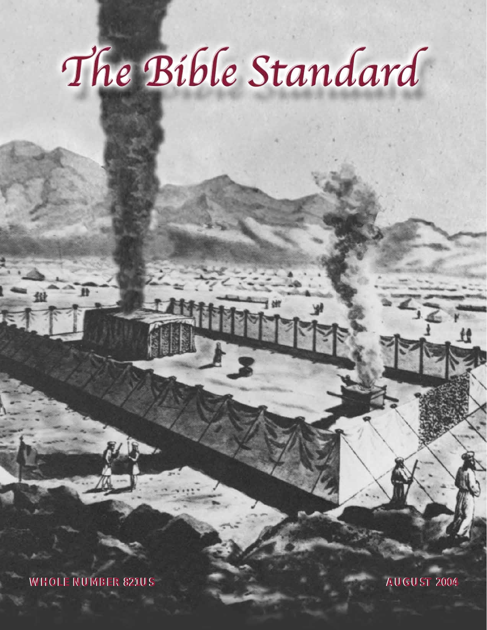# The Bible Standard

**WHOLE NUMBER 821US WHOLE NUMBER 821US AUGUST 2004 AUGUST 2004**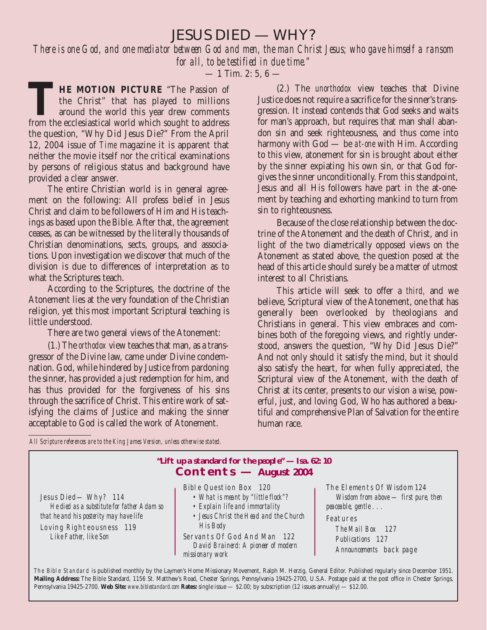JESUS DIED — WHY?

*There is one God, and one mediator between God and men, the man Christ Jesus; who gave himself a ransom for all, to be testified in due time."*

 $-1$  Tim. 2: 5, 6  $-$ 

THE MOTION PICTURE "The Passion of the Christ" that has played to millions around the world this year drew comments from the ecclesiastical world which sought to address the Christ" that has played to millions around the world this year drew comments from the ecclesiastical world which sought to address the question, "Why Did Jesus Die?" From the April 12, 2004 issue of *Time* magazine it is apparent that neither the movie itself nor the critical examinations by persons of religious status and background have provided a clear answer.

The entire Christian world is in general agreement on the following: All profess belief in Jesus Christ and claim to be followers of Him and His teachings as based upon the Bible. After that, the agreement ceases, as can be witnessed by the literally thousands of Christian denominations, sects, groups, and associations. Upon investigation we discover that much of the division is due to differences of interpretation as to what the Scriptures teach.

According to the Scriptures, the doctrine of the Atonement lies at the very foundation of the Christian religion, yet this most important Scriptural teaching is little understood.

There are two general views of the Atonement:

(1.) The *orthodox* view teaches that man, as a transgressor of the Divine law, came under Divine condemnation. God, while hindered by Justice from pardoning the sinner, has provided a just redemption for him, and has thus provided for the forgiveness of his sins through the sacrifice of Christ. This entire work of satisfying the claims of Justice and making the sinner acceptable to God is called the work of Atonement.

(2.) The *unorthodox* view teaches that Divine Justice does not require a sacrifice for the sinner's transgression. It instead contends that God seeks and waits for man's approach, but requires that man shall abandon sin and seek righteousness, and thus come into harmony with God — be *at-one* with Him. According to this view, atonement for sin is brought about either by the sinner expiating his own sin, or that God forgives the sinner unconditionally. From this standpoint, Jesus and all His followers have part in the at-onement by teaching and exhorting mankind to turn from sin to righteousness.

Because of the close relationship between the doctrine of the Atonement and the death of Christ, and in light of the two diametrically opposed views on the Atonement as stated above, the question posed at the head of this article should surely be a matter of utmost interest to all Christians.

This article will seek to offer a *third,* and we believe, Scriptural view of the Atonement, one that has generally been overlooked by theologians and Christians in general. This view embraces and combines both of the foregoing views, and rightly understood, answers the question, "Why Did Jesus Die?" And not only should it satisfy the mind, but it should also satisfy the heart, for when fully appreciated, the Scriptural view of the Atonement, with the death of Christ at its center, presents to our vision a wise, powerful, just, and loving God, Who has authored a beautiful and comprehensive Plan of Salvation for the entire human race.

*All Scripture references are to the King James Version, unless otherwise stated.*

# **"Lift up a standard for the people" — Isa. 62: 10 Contents — August 2004**

Jesus Died— Why? 114 *He died as a substitute for father Adam so that he and his posterity may have life* Loving Righteousness 119 *Like Father, like Son*

Bible Question Box 120

- *What is meant by "little flock"?*
- *Explain life and immortality*
- *Jesus Christ the Head and the Church His Body*
- Servants Of God And Man 122 *David Brainerd: A pioneer of modern missionary work*

The Elements Of Wisdom 124 *Wisdom from above — first pure, then peaceable, gentle . . .* Features

*The Mail Box* 127 *Publications* 127 *Announcements* back page

The Bible Standard is published monthly by the Laymen's Home Missionary Movement, Ralph M. Herzig, General Editor. Published regularly since December 1951. **Mailing Address:** The Bible Standard, 1156 St. Matthew's Road, Chester Springs, Pennsylvania 19425-2700, U.S.A. Postage paid at the post office in Chester Springs, Pennsylvania 19425-2700. **Web Site:** *www.biblestandard.com* **Rates:** single issue — \$2.00; by subscription (12 issues annually) — \$12.00.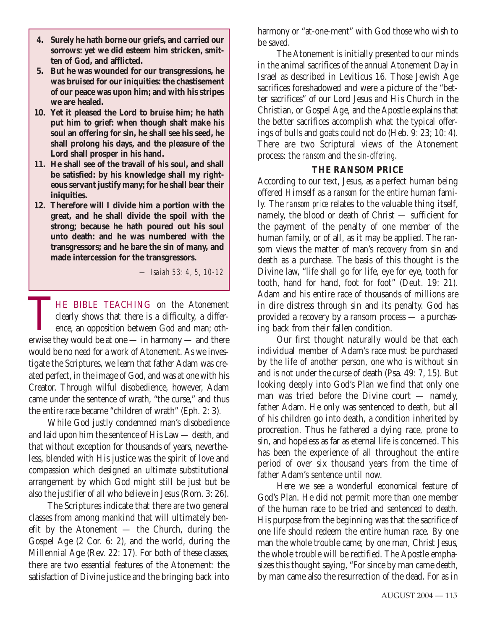- **4. Surely he hath borne our griefs, and carried our sorrows: yet we did esteem him stricken, smitten of God, and afflicted.**
- **5. But he was wounded for our transgressions, he was bruised for our iniquities: the chastisement of our peace was upon him; and with his stripes we are healed.**
- **10. Yet it pleased the Lord to bruise him; he hath put him to grief: when though shalt make his soul an offering for sin, he shall see his seed, he shall prolong his days, and the pleasure of the Lord shall prosper in his hand.**
- **11. He shall see of the travail of his soul, and shall be satisfied: by his knowledge shall my righteous servant justify many; for he shall bear their iniquities.**
- **12. Therefore will I divide him a portion with the great, and he shall divide the spoil with the strong; because he hath poured out his soul unto death: and he was numbered with the transgressors; and he bare the sin of many, and made intercession for the transgressors.**

*— Isaiah 53: 4, 5, 10-12*

THE BIBLE TEACHING on the Atonement clearly shows that there is a difficulty, a difference, an opposition between God and man; otherwise they would be at one — in harmony — and there would be no need for a work of Atonement. As we investigate the Scriptures, we learn that father Adam was created perfect, in the image of God, and was at one with his Creator. Through wilful disobedience, however, Adam came under the sentence of wrath, "the curse," and thus the entire race became "children of wrath" (Eph. 2: 3).

While God justly condemned man's disobedience and laid upon him the sentence of His Law — death, and that without exception for thousands of years, nevertheless, blended with His justice was the spirit of love and compassion which designed an ultimate substitutional arrangement by which God might still be just but be also the justifier of all who believe in Jesus (Rom. 3: 26).

The Scriptures indicate that there are two general classes from among mankind that will ultimately benefit by the Atonement — the Church, during the Gospel Age (2 Cor. 6: 2), and the world, during the Millennial Age (Rev. 22: 17). For both of these classes, there are two essential features of the Atonement: the satisfaction of Divine justice and the bringing back into harmony or "at-one-ment" with God those who wish to be saved.

The Atonement is initially presented to our minds in the animal sacrifices of the annual Atonement Day in Israel as described in Leviticus 16. Those Jewish Age sacrifices foreshadowed and were a picture of the "better sacrifices" of our Lord Jesus and His Church in the Christian, or Gospel Age, and the Apostle explains that the better sacrifices accomplish what the typical offerings of bulls and goats could not do (Heb. 9: 23; 10: 4). There are two Scriptural views of the Atonement process: the *ransom* and the *sin-offering*.

# **THE RANSOM PRICE**

According to our text, Jesus, as a perfect human being offered Himself as a *ransom* for the entire human family. The *ransom price* relates to the valuable thing itself, namely, the blood or death of Christ — sufficient for the payment of the penalty of one member of the human family, or of all, as it may be applied. The ransom views the matter of man's recovery from sin and death as a purchase. The basis of this thought is the Divine law, "life shall go for life, eye for eye, tooth for tooth, hand for hand, foot for foot" (Deut. 19: 21). Adam and his entire race of thousands of millions are in dire distress through sin and its penalty. God has provided a recovery by a ransom process — a purchasing back from their fallen condition.

Our first thought naturally would be that each individual member of Adam's race must be purchased by the life of another person, one who is without sin and is not under the curse of death (Psa. 49: 7, 15). But looking deeply into God's Plan we find that only one man was tried before the Divine court — namely, father Adam. He only was sentenced to death, but all of his children go into death, a condition inherited by procreation. Thus he fathered a dying race, prone to sin, and hopeless as far as eternal life is concerned. This has been the experience of all throughout the entire period of over six thousand years from the time of father Adam's sentence until now.

Here we see a wonderful economical feature of God's Plan. He did not permit more than one member of the human race to be tried and sentenced to death. His purpose from the beginning was that the sacrifice of one life should redeem the entire human race. By one man the whole trouble came; by one man, Christ Jesus, the whole trouble will be rectified. The Apostle emphasizes this thought saying, "For since by man came death, by man came also the resurrection of the dead. For as in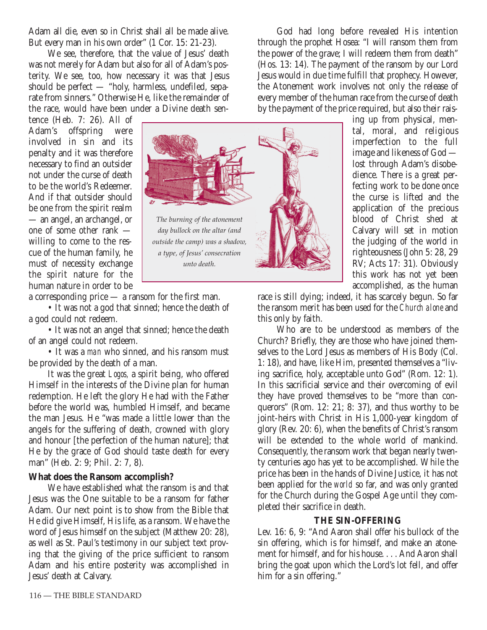Adam all die, even so in Christ shall all be made alive. But every man in his own order" (1 Cor. 15: 21-23).

We see, therefore, that the value of Jesus' death was not merely for Adam but also for all of Adam's posterity. We see, too, how necessary it was that Jesus should be perfect — "holy, harmless, undefiled, separate from sinners." Otherwise He, like the remainder of the race, would have been under a Divine death sen-

tence (Heb. 7: 26). All of Adam's offspring were involved in sin and its penalty and it was therefore necessary to find an outsider not under the curse of death to be the world's Redeemer. And if that outsider should be one from the spirit realm — an angel, an archangel, or one of some other rank willing to come to the rescue of the human family, he must of necessity exchange the spirit nature for the human nature in order to be



God had long before revealed His intention through the prophet Hosea: "I will ransom them from the power of the grave; I will redeem them from death" (Hos. 13: 14). The payment of the ransom by our Lord Jesus would in due time fulfill that prophecy. However, the Atonement work involves not only the release of every member of the human race from the curse of death by the payment of the price required, but also their rais-

ing up from physical, mental, moral, and religious imperfection to the full image and likeness of God lost through Adam's disobedience. There is a great perfecting work to be done once the curse is lifted and the application of the precious blood of Christ shed at Calvary will set in motion the judging of the world in righteousness (John 5: 28, 29 RV; Acts 17: 31). Obviously this work has not yet been accomplished, as the human

a corresponding price — a ransom for the first man.

• It was not a god that sinned; hence the death of a god could not redeem.

• It was not an angel that sinned; hence the death of an angel could not redeem.

• It was a *man* who sinned, and his ransom must be provided by the death of a man.

It was the great *Logos,* a spirit being, who offered Himself in the interests of the Divine plan for human redemption. He left the glory He had with the Father before the world was, humbled Himself, and became the man Jesus. He "was made a little lower than the angels for the suffering of death, crowned with glory and honour [the perfection of the human nature]; that He by the grace of God should taste death for every man" (Heb. 2: 9; Phil. 2: 7, 8).

# **What does the Ransom accomplish?**

We have established what the ransom is and that Jesus was the One suitable to be a ransom for father Adam. Our next point is to show from the Bible that He did give Himself, His life, as a ransom. We have the word of Jesus himself on the subject (Matthew 20: 28), as well as St. Paul's testimony in our subject text proving that the giving of the price sufficient to ransom Adam and his entire posterity was accomplished in Jesus' death at Calvary.

race is still dying; indeed, it has scarcely begun. So far the ransom merit has been used for the *Church alone* and this only by faith.

Who are to be understood as members of the Church? Briefly, they are those who have joined themselves to the Lord Jesus as members of His Body (Col. 1: 18), and have, like Him, presented themselves a "living sacrifice, holy, acceptable unto God" (Rom. 12: 1). In this sacrificial service and their overcoming of evil they have proved themselves to be "more than conquerors" (Rom. 12: 21; 8: 37), and thus worthy to be joint-heirs with Christ in His 1,000-year kingdom of glory (Rev. 20: 6), when the benefits of Christ's ransom will be extended to the whole world of mankind. Consequently, the ransom work that began nearly twenty centuries ago has yet to be accomplished. While the price has been in the hands of Divine Justice, it has not been applied for the *world* so far, and was only granted for the Church during the Gospel Age until they completed their sacrifice in death.

# **THE SIN-OFFERING**

Lev. 16: 6, 9: "And Aaron shall offer his bullock of the sin offering, which is for himself, and make an atonement for himself, and for his house. . . . And Aaron shall bring the goat upon which the Lord's lot fell, and offer him for a sin offering."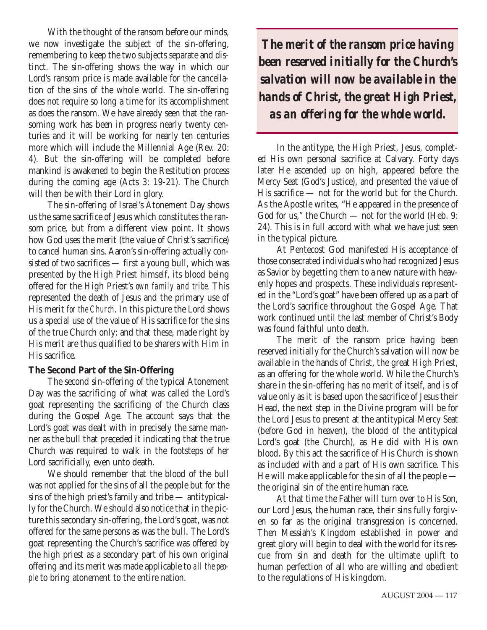With the thought of the ransom before our minds, we now investigate the subject of the sin-offering, remembering to keep the two subjects separate and distinct. The sin-offering shows the way in which our Lord's ransom price is made available for the cancellation of the sins of the whole world. The sin-offering does not require so long a time for its accomplishment as does the ransom. We have already seen that the ransoming work has been in progress nearly twenty centuries and it will be working for nearly ten centuries more which will include the Millennial Age (Rev. 20: 4). But the sin-offering will be completed before mankind is awakened to begin the Restitution process during the coming age (Acts 3: 19-21). The Church will then be with their Lord in glory.

The sin-offering of Israel's Atonement Day shows us the same sacrifice of Jesus which constitutes the ransom price, but from a different view point. It shows how God uses the merit (the value of Christ's sacrifice) to cancel human sins. Aaron's sin-offering actually consisted of two sacrifices — first a young bull, which was presented by the High Priest himself, its blood being offered for the High Priest's *own family and tribe.* This represented the death of Jesus and the primary use of His merit *for the Church*. In this picture the Lord shows us a special use of the value of His sacrifice for the sins of the true Church only; and that these, made right by His merit are thus qualified to be sharers with Him in His sacrifice.

# **The Second Part of the Sin-Offering**

The second sin-offering of the typical Atonement Day was the sacrificing of what was called the Lord's goat representing the sacrificing of the Church class during the Gospel Age. The account says that the Lord's goat was dealt with in precisely the same manner as the bull that preceded it indicating that the true Church was required to walk in the footsteps of her Lord sacrificially, even unto death.

We should remember that the blood of the bull was not applied for the sins of all the people but for the sins of the high priest's family and tribe — antitypically for the Church. We should also notice that in the picture this secondary sin-offering, the Lord's goat, was not offered for the same persons as was the bull. The Lord's goat representing the Church's sacrifice was offered by the high priest as a secondary part of his own original offering and its merit was made applicable to *all the people* to bring atonement to the entire nation.

*The merit of the ransom price having been reserved initially for the Church's salvation will now be available in the hands of Christ, the great High Priest, as an offering for the whole world.*

In the antitype, the High Priest, Jesus, completed His own personal sacrifice at Calvary. Forty days later He ascended up on high, appeared before the Mercy Seat (God's Justice), and presented the value of His sacrifice — not for the world but for the Church. As the Apostle writes, "He appeared in the presence of God for us," the Church — not for the world (Heb. 9: 24). This is in full accord with what we have just seen in the typical picture.

At Pentecost God manifested His acceptance of those consecrated individuals who had recognized Jesus as Savior by begetting them to a new nature with heavenly hopes and prospects. These individuals represented in the "Lord's goat" have been offered up as a part of the Lord's sacrifice throughout the Gospel Age. That work continued until the last member of Christ's Body was found faithful unto death.

The merit of the ransom price having been reserved initially for the Church's salvation will now be available in the hands of Christ, the great High Priest, as an offering for the whole world. While the Church's share in the sin-offering has no merit of itself, and is of value only as it is based upon the sacrifice of Jesus their Head, the next step in the Divine program will be for the Lord Jesus to present at the antitypical Mercy Seat (before God in heaven), the blood of the antitypical Lord's goat (the Church), as He did with His own blood. By this act the sacrifice of His Church is shown as included with and a part of His own sacrifice. This He will make applicable for the sin of all the people the original sin of the entire human race.

At that time the Father will turn over to His Son, our Lord Jesus, the human race, their sins fully forgiven so far as the original transgression is concerned. Then Messiah's Kingdom established in power and great glory will begin to deal with the world for its rescue from sin and death for the ultimate uplift to human perfection of all who are willing and obedient to the regulations of His kingdom.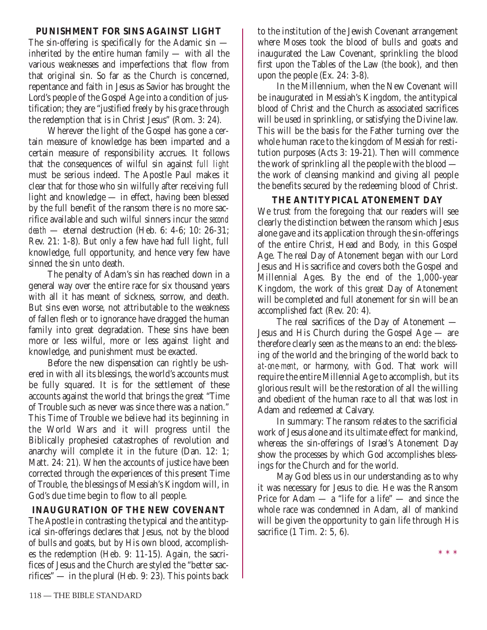# **PUNISHMENT FOR SINS AGAINST LIGHT**

The sin-offering is specifically for the Adamic sin inherited by the entire human family — with all the various weaknesses and imperfections that flow from that original sin. So far as the Church is concerned, repentance and faith in Jesus as Savior has brought the Lord's people of the Gospel Age into a condition of justification; they are "justified freely by his grace through the redemption that is in Christ Jesus" (Rom. 3: 24).

Wherever the light of the Gospel has gone a certain measure of knowledge has been imparted and a certain measure of responsibility accrues. It follows that the consequences of wilful sin against *full light* must be serious indeed. The Apostle Paul makes it clear that for those who sin wilfully after receiving full light and knowledge — in effect, having been blessed by the full benefit of the ransom there is no more sacrifice available and such wilful sinners incur the *second death* — eternal destruction (Heb. 6: 4-6; 10: 26-31; Rev. 21: 1-8). But only a few have had full light, full knowledge, full opportunity, and hence very few have sinned the sin unto death.

The penalty of Adam's sin has reached down in a general way over the entire race for six thousand years with all it has meant of sickness, sorrow, and death. But sins even worse, not attributable to the weakness of fallen flesh or to ignorance have dragged the human family into great degradation. These sins have been more or less wilful, more or less against light and knowledge, and punishment must be exacted.

Before the new dispensation can rightly be ushered in with all its blessings, the world's accounts must be fully squared. It is for the settlement of these accounts against the world that brings the great "Time of Trouble such as never was since there was a nation." This Time of Trouble we believe had its beginning in the World Wars and it will progress until the Biblically prophesied catastrophes of revolution and anarchy will complete it in the future (Dan. 12: 1; Matt. 24: 21). When the accounts of justice have been corrected through the experiences of this present Time of Trouble, the blessings of Messiah's Kingdom will, in God's due time begin to flow to all people.

# **INAUGURATION OF THE NEW COVENANT**

The Apostle in contrasting the typical and the antitypical sin-offerings declares that Jesus, not by the blood of bulls and goats, but by His own blood, accomplishes the redemption (Heb. 9: 11-15). Again, the sacrifices of Jesus and the Church are styled the "better sacrifices" — in the plural (Heb. 9: 23). This points back to the institution of the Jewish Covenant arrangement where Moses took the blood of bulls and goats and inaugurated the Law Covenant, sprinkling the blood first upon the Tables of the Law (the book), and then upon the people (Ex. 24: 3-8).

In the Millennium, when the New Covenant will be inaugurated in Messiah's Kingdom, the antitypical blood of Christ and the Church as associated sacrifices will be used in sprinkling, or satisfying the Divine law. This will be the basis for the Father turning over the whole human race to the kingdom of Messiah for restitution purposes (Acts 3: 19-21). Then will commence the work of sprinkling all the people with the blood the work of cleansing mankind and giving all people the benefits secured by the redeeming blood of Christ.

# **THE ANTITYPICAL ATONEMENT DAY**

We trust from the foregoing that our readers will see clearly the distinction between the ransom which Jesus alone gave and its application through the sin-offerings of the entire Christ, Head and Body, in this Gospel Age. The real Day of Atonement began with our Lord Jesus and His sacrifice and covers both the Gospel and Millennial Ages. By the end of the 1,000-year Kingdom, the work of this great Day of Atonement will be completed and full atonement for sin will be an accomplished fact (Rev. 20: 4).

The real sacrifices of the Day of Atonement — Jesus and His Church during the Gospel Age — are therefore clearly seen as the means to an end: the blessing of the world and the bringing of the world back to *at-one-ment*, or harmony, with God. That work will require the entire Millennial Age to accomplish, but its glorious result will be the restoration of all the willing and obedient of the human race to all that was lost in Adam and redeemed at Calvary.

In summary: The ransom relates to the sacrificial work of Jesus alone and its ultimate effect for mankind, whereas the sin-offerings of Israel's Atonement Day show the processes by which God accomplishes blessings for the Church and for the world.

May God bless us in our understanding as to why it was necessary for Jesus to die. He was the Ransom Price for Adam — a "life for a life" — and since the whole race was condemned in Adam, all of mankind will be given the opportunity to gain life through His sacrifice (1 Tim. 2: 5, 6).

\* \* \*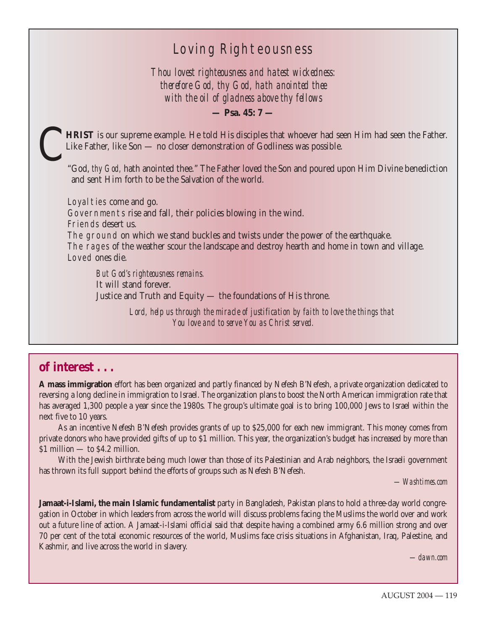# Loving Righteousness

*Thou lovest righteousness and hatest wickedness: therefore God, thy God, hath anointed thee with the oil of gladness above thy fellows*

**— Psa. 45: 7 —**

HRIST is our supreme example. He told His disciples that whoever had seen Him had seen the Father. Like Father, like Son — no closer demonstration of Godliness was possible.

"God, *thy God,* hath anointed thee." The Father loved the Son and poured upon Him Divine benediction and sent Him forth to be the Salvation of the world.

Loyalties come and go. Governments rise and fall, their policies blowing in the wind. Friends desert us. The ground on which we stand buckles and twists under the power of the earthquake. The rages of the weather scour the landscape and destroy hearth and home in town and village. Loved ones die.

*But God's righteousness remains.* It will stand forever. Justice and Truth and Equity — the foundations of His throne.

> Lord, help us through the miracle of justification by faith to love the things that *You love and to serve You as Christ served.*

# **of interest . . .**

**A mass immigration** effort has been organized and partly financed by Nefesh B'Nefesh, a private organization dedicated to reversing a long decline in immigration to Israel. The organization plans to boost the North American immigration rate that has averaged 1,300 people a year since the 1980s. The group's ultimate goal is to bring 100,000 Jews to Israel within the next five to 10 years.

As an incentive Nefesh B'Nefesh provides grants of up to \$25,000 for each new immigrant. This money comes from private donors who have provided gifts of up to \$1 million. This year, the organization's budget has increased by more than \$1 million — to \$4.2 million.

With the Jewish birthrate being much lower than those of its Palestinian and Arab neighbors, the Israeli government has thrown its full support behind the efforts of groups such as Nefesh B'Nefesh.

*—Washtimes.com*

**Jamaat-i-Islami, the main Islamic fundamentalist** party in Bangladesh, Pakistan plans to hold a three-day world congregation in October in which leaders from across the world will discuss problems facing the Muslims the world over and work out a future line of action. A Jamaat-i-Islami official said that despite having a combined army 6.6 million strong and over 70 per cent of the total economic resources of the world, Muslims face crisis situations in Afghanistan, Iraq, Palestine, and Kashmir, and live across the world in slavery.

*—dawn.com*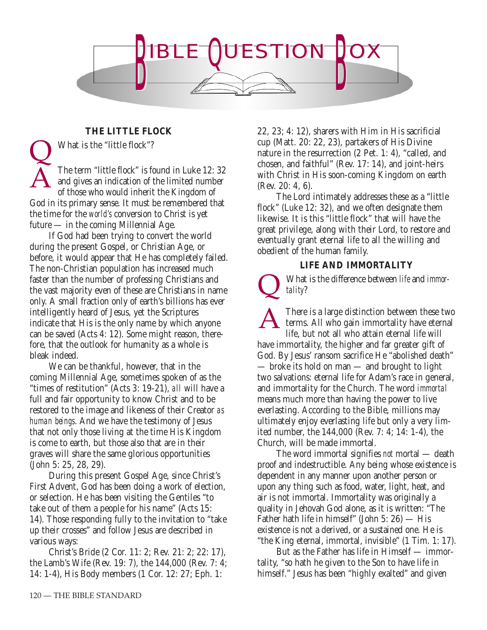

# **THE LITTLE FLOCK**

What is the "little flock"?

The term "little flock" is found in Luke 12: 32 and gives an indication of the limited number of those who would inherit the Kingdom of God in its primary sense. It must be remembered that the time for the *world's* conversion to Christ is yet future — in the coming Millennial Age. A Q

If God had been trying to convert the world during the present Gospel, or Christian Age, or before, it would appear that He has completely failed. The non-Christian population has increased much faster than the number of professing Christians and the vast majority even of these are Christians in name only. A small fraction only of earth's billions has ever intelligently heard of Jesus, yet the Scriptures indicate that His is the only name by which anyone can be saved (Acts 4: 12). Some might reason, therefore, that the outlook for humanity as a whole is bleak indeed.

We can be thankful, however, that in the coming Millennial Age, sometimes spoken of as the "times of restitution" (Acts 3: 19-21), *all* will have a full and fair opportunity to know Christ and to be restored to the image and likeness of their Creator *as human beings*. And we have the testimony of Jesus that not only those living at the time His Kingdom is come to earth, but those also that are in their graves will share the same glorious opportunities (John 5: 25, 28, 29).

During this present Gospel Age, since Christ's First Advent, God has been doing a work of election, or selection. He has been visiting the Gentiles "to take out of them a people for his name" (Acts 15: 14). Those responding fully to the invitation to "take up their crosses" and follow Jesus are described in various ways:

Christ's Bride (2 Cor. 11: 2; Rev. 21: 2; 22: 17), the Lamb's Wife (Rev. 19: 7), the 144,000 (Rev. 7: 4; 14: 1-4), His Body members (1 Cor. 12: 27; Eph. 1:

22, 23; 4: 12), sharers with Him in His sacrificial cup (Matt. 20: 22, 23), partakers of His Divine nature in the resurrection (2 Pet. 1: 4), "called, and chosen, and faithful" (Rev. 17: 14), and joint-heirs with Christ in His soon-coming Kingdom on earth (Rev. 20: 4, 6).

The Lord intimately addresses these as a "little flock" (Luke 12: 32), and we often designate them likewise. It is this "little flock" that will have the great privilege, along with their Lord, to restore and eventually grant eternal life to all the willing and obedient of the human family.

# **LIFE AND IMMORTALITY**

*tality*?  $\overline{\mathsf{Q}}$ 

What is the difference between *life* and *immor-*

There is a large distinction between these two terms. All who gain immortality have eternal life, but not all who attain eternal life will have immortality, the higher and far greater gift of God. By Jesus' ransom sacrifice He "abolished death" — broke its hold on man — and brought to light two salvations: eternal life for Adam's race in general, and immortality for the Church. The word *immortal* means much more than having the power to live everlasting. According to the Bible, millions may ultimately enjoy everlasting life but only a very limited number, the 144,000 (Rev. 7: 4; 14: 1-4), the Church, will be made immortal. A

The word immortal signifies *not* mortal — death proof and indestructible. Any being whose existence is dependent in any manner upon another person or upon any thing such as food, water, light, heat, and air is not immortal. Immortality was originally a quality in Jehovah God alone, as it is written: "The Father hath life in himself" (John 5: 26) — His existence is not a derived, or a sustained one. He is "the King eternal, immortal, invisible" (1 Tim. 1: 17).

But as the Father has life in Himself — immortality, "so hath he given to the Son to have life in himself." Jesus has been "highly exalted" and given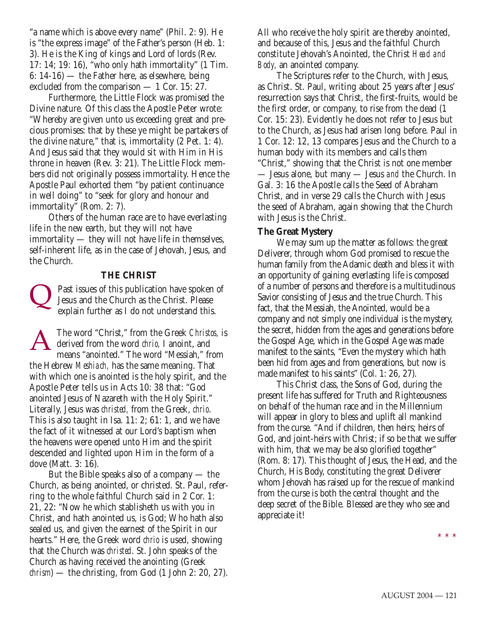"a name which is above every name" (Phil. 2: 9). He is "the express image" of the Father's person (Heb. 1: 3). He is the King of kings and Lord of lords (Rev. 17: 14; 19: 16), "who only hath immortality" (1 Tim. 6: 14-16) — the Father here, as elsewhere, being excluded from the comparison — 1 Cor. 15: 27.

Furthermore, the Little Flock was promised the Divine nature. Of this class the Apostle Peter wrote: "Whereby are given unto us exceeding great and precious promises: that by these ye might be partakers of the divine nature," that is, immortality (2 Pet. 1: 4). And Jesus said that they would sit with Him in His throne in heaven (Rev. 3: 21). The Little Flock members did not originally possess immortality. Hence the Apostle Paul exhorted them "by patient continuance in well doing" to "seek for glory and honour and immortality" (Rom. 2: 7).

Others of the human race are to have everlasting life in the new earth, but they will not have immortality — they will not have life in themselves, self-inherent life, as in the case of Jehovah, Jesus, and the Church.

#### **THE CHRIST**

Past issues of this publication have spoken of Jesus and the Church as the Christ. Please explain further as I do not understand this.  $\overline{\mathsf{Q}}$ 

The word "Christ," from the Greek *Christos,* is derived from the word *chrio,* I anoint, and means "anointed." The word "Messiah," from the Hebrew *Meshiach,* has the same meaning. That with which one is anointed is the holy spirit, and the Apostle Peter tells us in Acts 10: 38 that: "God anointed Jesus of Nazareth with the Holy Spirit." Literally, Jesus was *christed,* from the Greek, *chrio*. This is also taught in Isa. 11: 2; 61: 1, and we have the fact of it witnessed at our Lord's baptism when the heavens were opened unto Him and the spirit descended and lighted upon Him in the form of a dove (Matt. 3: 16). A

But the Bible speaks also of a company — the Church, as being anointed, or christed. St. Paul, referring to the whole faithful Church said in 2 Cor. 1: 21, 22: "Now he which stablisheth us with you in Christ, and hath anointed us, is God; Who hath also sealed us, and given the earnest of the Spirit in our hearts." Here, the Greek word *chrio* is used, showing that the Church was *christed*. St. John speaks of the Church as having received the anointing (Greek *chrism*) — the christing, from God (1 John 2: 20, 27). All who receive the holy spirit are thereby anointed, and because of this, Jesus and the faithful Church constitute Jehovah's Anointed, the Christ *Head and Body,* an anointed company.

The Scriptures refer to the Church, with Jesus, as Christ. St. Paul, writing about 25 years after Jesus' resurrection says that Christ, the first-fruits, would be the first order, or company, to rise from the dead (1 Cor. 15: 23). Evidently he does not refer to Jesus but to the Church, as Jesus had arisen long before. Paul in 1 Cor. 12: 12, 13 compares Jesus and the Church to a human body with its members and calls them "Christ," showing that the Christ is not one member — Jesus alone, but many — Jesus *and* the Church. In Gal. 3: 16 the Apostle calls the Seed of Abraham Christ, and in verse 29 calls the Church with Jesus the seed of Abraham, again showing that the Church with Jesus is the Christ.

#### **The Great Mystery**

We may sum up the matter as follows: the great Deliverer, through whom God promised to rescue the human family from the Adamic death and bless it with an opportunity of gaining everlasting life is composed of a number of persons and therefore is a multitudinous Savior consisting of Jesus and the true Church. This fact, that the Messiah, the Anointed, would be a company and not simply one individual is the mystery, the secret, hidden from the ages and generations before the Gospel Age, which in the Gospel Age was made manifest to the saints, "Even the mystery which hath been hid from ages and from generations, but now is made manifest to his saints" (Col. 1: 26, 27).

This Christ class, the Sons of God, during the present life has suffered for Truth and Righteousness on behalf of the human race and in the Millennium will appear in glory to bless and uplift all mankind from the curse. "And if children, then heirs; heirs of God, and joint-heirs with Christ; if so be that we suffer with him, that we may be also glorified together" (Rom. 8: 17). This thought of Jesus, the Head, and the Church, His Body, constituting the great Deliverer whom Jehovah has raised up for the rescue of mankind from the curse is both the central thought and the deep secret of the Bible. Blessed are they who see and appreciate it!

\* \* \*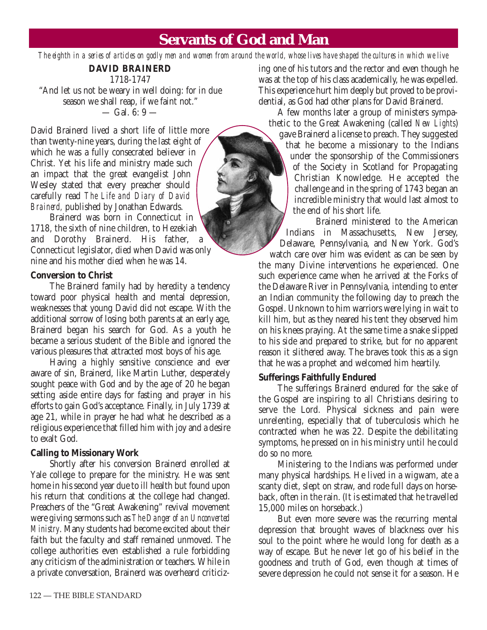# **Servants of God and Man**

*The eighth in a series of articles on godly men and women from around the world, whose lives have shaped the cultures in which we live*

#### **DAVID BRAINERD** 1718-1747

"And let us not be weary in well doing: for in due season we shall reap, if we faint not."  $-$  Gal. 6: 9  $-$ 

David Brainerd lived a short life of little more than twenty-nine years, during the last eight of which he was a fully consecrated believer in Christ. Yet his life and ministry made such an impact that the great evangelist John Wesley stated that every preacher should carefully read *The Life and Diary of David Brainerd,* published by Jonathan Edwards.

Brainerd was born in Connecticut in 1718, the sixth of nine children, to Hezekiah and Dorothy Brainerd. His father, Connecticut legislator, died when David was only nine and his mother died when he was 14.

#### **Conversion to Christ**

The Brainerd family had by heredity a tendency toward poor physical health and mental depression, weaknesses that young David did not escape. With the additional sorrow of losing both parents at an early age, Brainerd began his search for God. As a youth he became a serious student of the Bible and ignored the various pleasures that attracted most boys of his age.

Having a highly sensitive conscience and ever aware of sin, Brainerd, like Martin Luther, desperately sought peace with God and by the age of 20 he began setting aside entire days for fasting and prayer in his efforts to gain God's acceptance. Finally, in July 1739 at age 21, while in prayer he had what he described as a religious experience that filled him with joy and a desire to exalt God.

# **Calling to Missionary Work**

Shortly after his conversion Brainerd enrolled at Yale college to prepare for the ministry. He was sent home in his second year due to ill health but found upon his return that conditions at the college had changed. Preachers of the "Great Awakening" revival movement were giving sermons such as *The Danger of an Unconverted Ministry*. Many students had become excited about their faith but the faculty and staff remained unmoved. The college authorities even established a rule forbidding any criticism of the administration or teachers. While in a private conversation, Brainerd was overheard criticizing one of his tutors and the rector and even though he was at the top of his class academically, he was expelled. This experience hurt him deeply but proved to be providential, as God had other plans for David Brainerd.

A few months later a group of ministers sympathetic to the Great Awakening (called *New Lights*) gave Brainerd a license to preach. They suggested that he become a missionary to the Indians under the sponsorship of the Commissioners of the Society in Scotland for Propagating Christian Knowledge. He accepted the challenge and in the spring of 1743 began an incredible ministry that would last almost to the end of his short life.

Brainerd ministered to the American Indians in Massachusetts, New Jersey, Delaware, Pennsylvania, and New York. God's watch care over him was evident as can be seen by the many Divine interventions he experienced. One such experience came when he arrived at the Forks of the Delaware River in Pennsylvania, intending to enter an Indian community the following day to preach the Gospel. Unknown to him warriors were lying in wait to kill him, but as they neared his tent they observed him on his knees praying. At the same time a snake slipped to his side and prepared to strike, but for no apparent reason it slithered away. The braves took this as a sign that he was a prophet and welcomed him heartily.

# **Sufferings Faithfully Endured**

The sufferings Brainerd endured for the sake of the Gospel are inspiring to all Christians desiring to serve the Lord. Physical sickness and pain were unrelenting, especially that of tuberculosis which he contracted when he was 22. Despite the debilitating symptoms, he pressed on in his ministry until he could do so no more.

Ministering to the Indians was performed under many physical hardships. He lived in a wigwam, ate a scanty diet, slept on straw, and rode full days on horseback, often in the rain. (It is estimated that he travelled 15,000 miles on horseback.)

But even more severe was the recurring mental depression that brought waves of blackness over his soul to the point where he would long for death as a way of escape. But he never let go of his belief in the goodness and truth of God, even though at times of severe depression he could not sense it for a season. He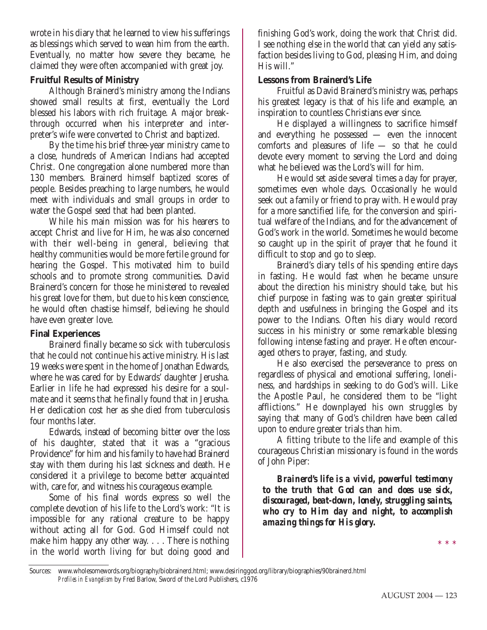wrote in his diary that he learned to view his sufferings as blessings which served to wean him from the earth. Eventually, no matter how severe they became, he claimed they were often accompanied with great joy.

# **Fruitful Results of Ministry**

Although Brainerd's ministry among the Indians showed small results at first, eventually the Lord blessed his labors with rich fruitage. A major breakthrough occurred when his interpreter and interpreter's wife were converted to Christ and baptized.

By the time his brief three-year ministry came to a close, hundreds of American Indians had accepted Christ. One congregation alone numbered more than 130 members. Brainerd himself baptized scores of people. Besides preaching to large numbers, he would meet with individuals and small groups in order to water the Gospel seed that had been planted.

While his main mission was for his hearers to accept Christ and live for Him, he was also concerned with their well-being in general, believing that healthy communities would be more fertile ground for hearing the Gospel. This motivated him to build schools and to promote strong communities. David Brainerd's concern for those he ministered to revealed his great love for them, but due to his keen conscience, he would often chastise himself, believing he should have even greater love.

# **Final Experiences**

Brainerd finally became so sick with tuberculosis that he could not continue his active ministry. His last 19 weeks were spent in the home of Jonathan Edwards, where he was cared for by Edwards' daughter Jerusha. Earlier in life he had expressed his desire for a soulmate and it seems that he finally found that in Jerusha. Her dedication cost her as she died from tuberculosis four months later.

Edwards, instead of becoming bitter over the loss of his daughter, stated that it was a "gracious Providence" for him and his family to have had Brainerd stay with them during his last sickness and death. He considered it a privilege to become better acquainted with, care for, and witness his courageous example.

Some of his final words express so well the complete devotion of his life to the Lord's work: "It is impossible for any rational creature to be happy without acting all for God. God Himself could not make him happy any other way. . . . There is nothing in the world worth living for but doing good and

finishing God's work, doing the work that Christ did. I see nothing else in the world that can yield any satisfaction besides living to God, pleasing Him, and doing His will."

# **Lessons from Brainerd's Life**

Fruitful as David Brainerd's ministry was, perhaps his greatest legacy is that of his life and example, an inspiration to countless Christians ever since.

He displayed a willingness to sacrifice himself and everything he possessed — even the innocent comforts and pleasures of life — so that he could devote every moment to serving the Lord and doing what he believed was the Lord's will for him.

He would set aside several times a day for prayer, sometimes even whole days. Occasionally he would seek out a family or friend to pray with. He would pray for a more sanctified life, for the conversion and spiritual welfare of the Indians, and for the advancement of God's work in the world. Sometimes he would become so caught up in the spirit of prayer that he found it difficult to stop and go to sleep.

Brainerd's diary tells of his spending entire days in fasting. He would fast when he became unsure about the direction his ministry should take, but his chief purpose in fasting was to gain greater spiritual depth and usefulness in bringing the Gospel and its power to the Indians. Often his diary would record success in his ministry or some remarkable blessing following intense fasting and prayer. He often encouraged others to prayer, fasting, and study.

He also exercised the perseverance to press on regardless of physical and emotional suffering, loneliness, and hardships in seeking to do God's will. Like the Apostle Paul, he considered them to be "light afflictions." He downplayed his own struggles by saying that many of God's children have been called upon to endure greater trials than him.

A fitting tribute to the life and example of this courageous Christian missionary is found in the words of John Piper:

*Brainerd's life is a vivid, powerful testimony to the truth that God can and does use sick, discouraged, beat-down, lonely, struggling saints, who cry to Him day and night, to accomplish amazing things for His glory.*

Sources: www.wholesomewords.org/biography/biobrainerd.html; www.desiringgod.org/library/biographies/90brainerd.html *Profiles in Evangelism* by Fred Barlow, Sword of the Lord Publishers, c1976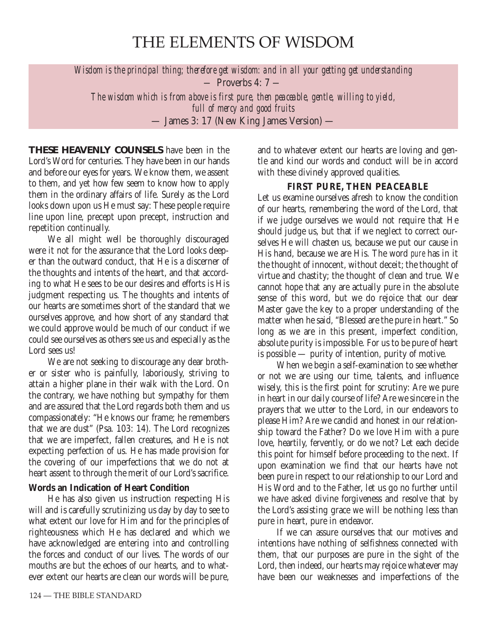# THE ELEMENTS OF WISDOM

*Wisdom is the principal thing; therefore get wisdom: and in all your getting get understanding —* Proverbs 4: 7 *—*

*The wisdom which is from above is first pure, then peaceable, gentle, willing to yield, full of mercy and good fruits* — James 3: 17 (New King James Version) —

**THESE HEAVENLY COUNSELS** have been in the Lord's Word for centuries. They have been in our hands and before our eyes for years. We know them, we assent to them, and yet how few seem to know how to apply them in the ordinary affairs of life. Surely as the Lord looks down upon us He must say: These people require line upon line, precept upon precept, instruction and repetition continually.

We all might well be thoroughly discouraged were it not for the assurance that the Lord looks deeper than the outward conduct, that He is a discerner of the thoughts and intents of the heart, and that according to what He sees to be our desires and efforts is His judgment respecting us. The thoughts and intents of our hearts are sometimes short of the standard that we ourselves approve, and how short of any standard that we could approve would be much of our conduct if we could see ourselves as others see us and especially as the Lord sees us!

We are not seeking to discourage any dear brother or sister who is painfully, laboriously, striving to attain a higher plane in their walk with the Lord. On the contrary, we have nothing but sympathy for them and are assured that the Lord regards both them and us compassionately: "He knows our frame; he remembers that we are dust" (Psa. 103: 14). The Lord recognizes that we are imperfect, fallen creatures, and He is not expecting perfection of us. He has made provision for the covering of our imperfections that we do not at heart assent to through the merit of our Lord's sacrifice.

# **Words an Indication of Heart Condition**

He has also given us instruction respecting His will and is carefully scrutinizing us day by day to see to what extent our love for Him and for the principles of righteousness which He has declared and which we have acknowledged are entering into and controlling the forces and conduct of our lives. The words of our mouths are but the echoes of our hearts, and to whatever extent our hearts are clean our words will be pure,

and to whatever extent our hearts are loving and gentle and kind our words and conduct will be in accord with these divinely approved qualities.

# **FIRST PURE, THEN PEACEABLE**

Let us examine ourselves afresh to know the condition of our hearts, remembering the word of the Lord, that if we judge ourselves we would not require that He should judge us, but that if we neglect to correct ourselves He will chasten us, because we put our cause in His hand, because we are His. The word *pure* has in it the thought of innocent, without deceit; the thought of virtue and chastity; the thought of clean and true. We cannot hope that any are actually pure in the absolute sense of this word, but we do rejoice that our dear Master gave the key to a proper understanding of the matter when he said, "Blessed are the pure in heart." So long as we are in this present, imperfect condition, absolute purity is impossible. For us to be pure of heart is possible — purity of intention, purity of motive.

When we begin a self-examination to see whether or not we are using our time, talents, and influence wisely, this is the first point for scrutiny: Are we pure in heart in our daily course of life? Are we sincere in the prayers that we utter to the Lord, in our endeavors to please Him? Are we candid and honest in our relationship toward the Father? Do we love Him with a pure love, heartily, fervently, or do we not? Let each decide this point for himself before proceeding to the next. If upon examination we find that our hearts have not been pure in respect to our relationship to our Lord and His Word and to the Father, let us go no further until we have asked divine forgiveness and resolve that by the Lord's assisting grace we will be nothing less than pure in heart, pure in endeavor.

If we can assure ourselves that our motives and intentions have nothing of selfishness connected with them, that our purposes are pure in the sight of the Lord, then indeed, our hearts may rejoice whatever may have been our weaknesses and imperfections of the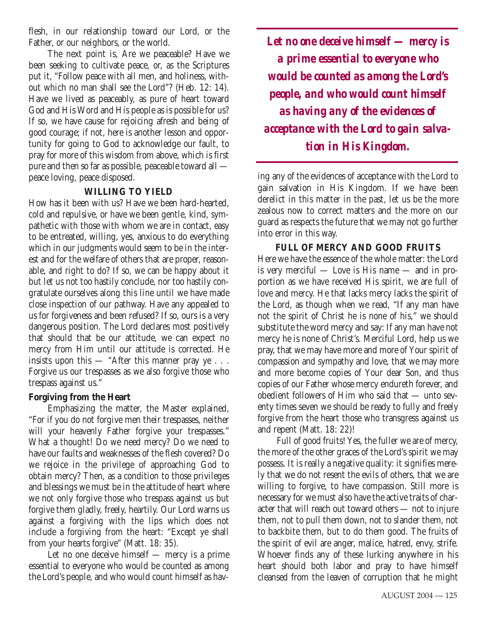flesh, in our relationship toward our Lord, or the Father, or our neighbors, or the world.

The next point is, Are we peaceable? Have we been seeking to cultivate peace, or, as the Scriptures put it, "Follow peace with all men, and holiness, without which no man shall see the Lord"? (Heb. 12: 14). Have we lived as peaceably, as pure of heart toward God and His Word and His people as is possible for us? If so, we have cause for rejoicing afresh and being of good courage; if not, here is another lesson and opportunity for going to God to acknowledge our fault, to pray for more of this wisdom from above, which is first pure and then so far as possible, peaceable toward all peace loving, peace disposed.

#### **WILLING TO YIELD**

How has it been with us? Have we been hard-hearted, cold and repulsive, or have we been gentle, kind, sympathetic with those with whom we are in contact, easy to be entreated, willing, yes, anxious to do everything which in our judgments would seem to be in the interest and for the welfare of others that are proper, reasonable, and right to do? If so, we can be happy about it but let us not too hastily conclude, nor too hastily congratulate ourselves along this line until we have made close inspection of our pathway. Have any appealed to us for forgiveness and been refused? If so, ours is a very dangerous position. The Lord declares most positively that should that be our attitude, we can expect no mercy from Him until our attitude is corrected. He insists upon this  $-$  "After this manner pray ye  $\ldots$ Forgive us our trespasses as we also forgive those who trespass against us."

# **Forgiving from the Heart**

Emphasizing the matter, the Master explained, "For if you do not forgive men their trespasses, neither will your heavenly Father forgive your trespasses." What a thought! Do we need mercy? Do we need to have our faults and weaknesses of the flesh covered? Do we rejoice in the privilege of approaching God to obtain mercy? Then, as a condition to those privileges and blessings we must be in the attitude of heart where we not only forgive those who trespass against us but forgive them gladly, freely, heartily. Our Lord warns us against a forgiving with the lips which does not include a forgiving from the heart: "Except ye shall from your hearts forgive" (Matt. 18: 35).

Let no one deceive himself — mercy is a prime essential to everyone who would be counted as among the Lord's people, and who would count himself as hav-

*Let no one deceive himself — mercy is a prime essential to everyone who would be counted as among the Lord's people, and who would count himself as having any of the evidences of acceptance with the Lord to gain salvation in His Kingdom.*

ing any of the evidences of acceptance with the Lord to gain salvation in His Kingdom. If we have been derelict in this matter in the past, let us be the more zealous now to correct matters and the more on our guard as respects the future that we may not go further into error in this way.

# **FULL OF MERCY AND GOOD FRUITS**

Here we have the essence of the whole matter: the Lord is very merciful — Love is His name — and in proportion as we have received His spirit, we are full of love and mercy. He that lacks mercy lacks the spirit of the Lord, as though when we read, "If any man have not the spirit of Christ he is none of his," we should substitute the word mercy and say: If any man have not mercy he is none of Christ's. Merciful Lord, help us we pray, that we may have more and more of Your spirit of compassion and sympathy and love, that we may more and more become copies of Your dear Son, and thus copies of our Father whose mercy endureth forever, and obedient followers of Him who said that — unto seventy times seven we should be ready to fully and freely forgive from the heart those who transgress against us and repent (Matt. 18: 22)!

Full of good fruits! Yes, the fuller we are of mercy, the more of the other graces of the Lord's spirit we may possess. It is really a negative quality: it signifies merely that we do not resent the evils of others, that we are willing to forgive, to have compassion. Still more is necessary for we must also have the active traits of character that will reach out toward others — not to injure them, not to pull them down, not to slander them, not to backbite them, but to do them good. The fruits of the spirit of evil are anger, malice, hatred, envy, strife. Whoever finds any of these lurking anywhere in his heart should both labor and pray to have himself cleansed from the leaven of corruption that he might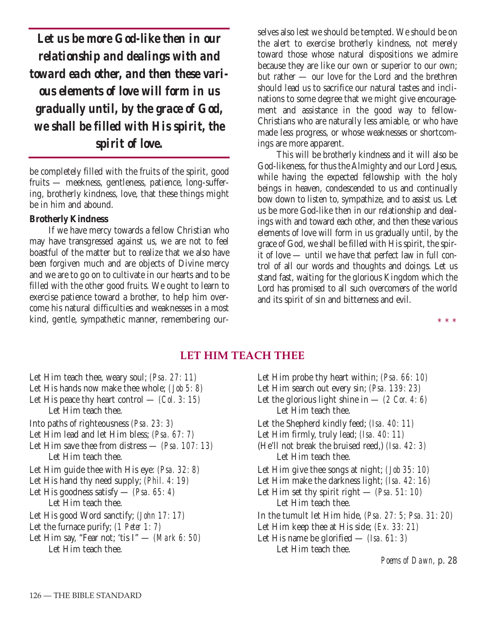*Let us be more God-like then in our relationship and dealings with and toward each other, and then these various elements of love will form in us gradually until, by the grace of God, we shall be filled with His spirit, the spirit of love.*

be completely filled with the fruits of the spirit, good fruits — meekness, gentleness, patience, long-suffering, brotherly kindness, love, that these things might be in him and abound.

#### **Brotherly Kindness**

If we have mercy towards a fellow Christian who may have transgressed against us, we are not to feel boastful of the matter but to realize that we also have been forgiven much and are objects of Divine mercy and we are to go on to cultivate in our hearts and to be filled with the other good fruits. We ought to learn to exercise patience toward a brother, to help him overcome his natural difficulties and weaknesses in a most kind, gentle, sympathetic manner, remembering ourselves also lest we should be tempted. We should be on the alert to exercise brotherly kindness, not merely toward those whose natural dispositions we admire because they are like our own or superior to our own; but rather — our love for the Lord and the brethren should lead us to sacrifice our natural tastes and inclinations to some degree that we might give encouragement and assistance in the good way to fellow-Christians who are naturally less amiable, or who have made less progress, or whose weaknesses or shortcomings are more apparent.

This will be brotherly kindness and it will also be God-likeness, for thus the Almighty and our Lord Jesus, while having the expected fellowship with the holy beings in heaven, condescended to us and continually bow down to listen to, sympathize, and to assist us. Let us be more God-like then in our relationship and dealings with and toward each other, and then these various elements of love will form in us gradually until, by the grace of God, we shall be filled with His spirit, the spirit of love — until we have that perfect law in full control of all our words and thoughts and doings. Let us stand fast, waiting for the glorious Kingdom which the Lord has promised to all such overcomers of the world and its spirit of sin and bitterness and evil.

\* \* \*

# **LET HIM TEACH THEE**

Let Him teach thee, weary soul; *(Psa. 27: 11)* Let His hands now make thee whole; *(Job 5: 8)* Let His peace thy heart control — *(Col. 3: 15)* Let Him teach thee. Into paths of righteousness *(Psa. 23: 3)* Let Him lead and let Him bless; *(Psa. 67: 7)* Let Him save thee from distress — *(Psa. 107: 13)* Let Him teach thee. Let Him guide thee with His eye: *(Psa. 32: 8)* Let His hand thy need supply; *(Phil. 4: 19)* Let His goodness satisfy — *(Psa. 65: 4)* Let Him teach thee. Let His good Word sanctify; *(John 17: 17)* Let the furnace purify; *(1 Peter 1: 7)* Let Him say, "Fear not; 'tis I" — *(Mark 6: 50)* Let Him teach thee.

Let Him probe thy heart within; *(Psa. 66: 10)* Let Him search out every sin; *(Psa. 139: 23)* Let the glorious light shine in  $-$  *(2 Cor. 4: 6)* Let Him teach thee. Let the Shepherd kindly feed; *(Isa. 40: 11)* Let Him firmly, truly lead; *(Isa. 40: 11)* (He'll not break the bruised reed,) *(Isa. 42: 3)* Let Him teach thee. Let Him give thee songs at night; *(Job 35: 10)* Let Him make the darkness light; *(Isa. 42: 16)* Let Him set thy spirit right — *(Psa. 51: 10)* Let Him teach thee. In the tumult let Him hide, *(Psa. 27: 5; Psa. 31: 20)* Let Him keep thee at His side; *(Ex. 33: 21)* Let His name be glorified — *(Isa. 61: 3)* Let Him teach thee. *Poems of Dawn,* p. 28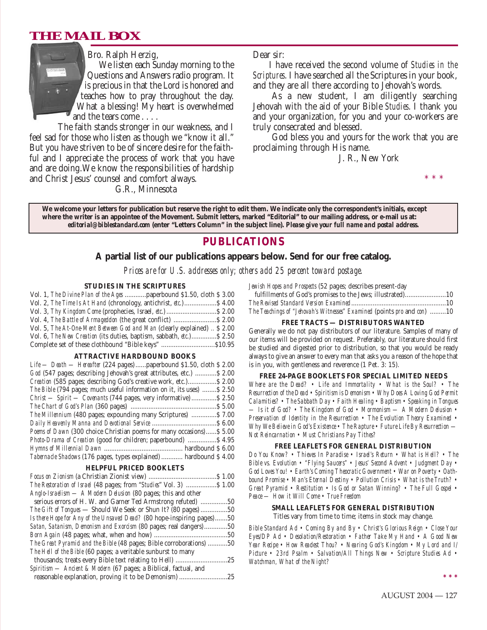# **THE MAIL BOX**



Bro. Ralph Herzig,

We listen each Sunday morning to the Questions and Answers radio program. It is precious in that the Lord is honored and teaches how to pray throughout the day. What a blessing! My heart is overwhelmed and the tears come . . . .

The faith stands stronger in our weakness, and I feel sad for those who listen as though we "know it all." But you have striven to be of sincere desire for the faithful and I appreciate the process of work that you have and are doing.We know the responsibilities of hardship and Christ Jesus' counsel and comfort always.

G.R., Minnesota

Dear sir:

I have received the second volume of *Studies in the Scriptures*. I have searched all the Scriptures in your book, and they are all there according to Jehovah's words.

As a new student, I am diligently searching Jehovah with the aid of your Bible *Studies*. I thank you and your organization, for you and your co-workers are truly consecrated and blessed.

God bless you and yours for the work that you are proclaiming through His name.

J. R., New York

\* \* \*

**We welcome your letters for publication but reserve the right to edit them. We indicate only the correspondent's initials, except where the writer is an appointee of the Movement. Submit letters, marked "Editorial" to our mailing address, or e-mail us at:** *editorial@biblestandard.com* **(enter "Letters Column" in the subject line).** *Please give your full name and postal address.*

# **PUBLICATIONS**

#### **A partial list of our publications appears below. Send for our free catalog.**

*Prices are for U.S. addresses only; others add 25 percent toward postage.*

#### **STUDIES IN THE SCRIPTURES**

| Vol. 1, The Divine Plan of the Ages  paperbound \$1.50, cloth \$3.00                |  |
|-------------------------------------------------------------------------------------|--|
| Vol. 2, The Time Is At Hand (chronology, antichrist, etc.) \$4.00                   |  |
|                                                                                     |  |
| Vol. 4, The Battle of Armageddon (the great conflict)  \$ 2.00                      |  |
| Vol. 5, The At-One-Ment Between God and Man (clearly explained)  \$ 2.00            |  |
| Vol. 6, <i>The New Creation</i> (its duties, baptism, sabbath, <i>etc.</i> )\$ 2.50 |  |
| Complete set of these clothbound "Bible keys" \$10.95                               |  |

#### **ATTRACTIVE HARDBOUND BOOKS**

| Life — Death — Hereafter (224 pages)  paperbound \$1.50, cloth \$2.00  |
|------------------------------------------------------------------------|
| God (547 pages; describing Jehovah's great attributes, etc.)  \$2.00   |
| Creation (585 pages; describing God's creative work, etc.) \$2.00      |
| The Bible (794 pages; much useful information on it, its uses)  \$2.50 |
| Christ — Spirit — Covenants (744 pages, very informative)  \$2.50      |
|                                                                        |
| The Millennium (480 pages; expounding many Scriptures)  \$7.00         |
|                                                                        |
| Poems of Dawn (300 choice Christian poems for many occasions) \$5.00   |
| <i>Photo-Drama of Creation</i> (good for children; paperbound)  \$4.95 |
|                                                                        |
| Tabernacle Shadows (176 pages, types explained)  hardbound \$4.00      |
|                                                                        |

#### **HELPFUL PRICED BOOKLETS**

| The Restoration of Israel (48 pages; from "Studies" Vol. 3)  \$ 1.00   |     |
|------------------------------------------------------------------------|-----|
| Anglo-Israelism — A Modern Delusion (80 pages; this and other          |     |
| serious errors of H. W. and Garner Ted Armstrong refuted) 50           |     |
| <i>The Gift of Tongues</i> — Should We Seek or Shun It? (80 pages) 50  |     |
| Is there Hope for Any of the Unsaved Dead? (80 hope-inspiring pages)50 |     |
| Satan, Satanism, Demonism and Exorcism (80 pages; real dangers)50      |     |
|                                                                        |     |
| The Great Pyramid and the Bible (48 pages; Bible corroborations) 50    |     |
| The Hell of the Bible (60 pages; a veritable sunburst to many          |     |
| thousands; treats every Bible text relating to Hell)                   | .25 |
| Spiritism — Ancient & Modern (67 pages; a Biblical, factual, and       |     |
| reasonable explanation, proving it to be Demonism)                     | .25 |

*Jewish Hopes and Prospects* (52 pages; describes present-day

| The Teachings of "Jehovah's Witnesses" Examined (points pro and con) 10 |  |
|-------------------------------------------------------------------------|--|

#### **FREE TRACTS — DISTRIBUTORS WANTED**

Generally we do not pay distributors of our literature. Samples of many of our items will be provided on request. Preferably, our literature should first be studied and digested prior to distribution, so that you would be ready always to give an answer to every man that asks you a reason of the hope that is in you, with gentleness and reverence (1 Pet. 3: 15).

#### **FREE 24-PAGE BOOKLETS FOR SPECIAL LIMITED NEEDS**

*Where are the Dead? • Life and Immortality • What is the Soul? • The Resurrection of the Dead • Spiritism is Demonism • Why Does A Loving God Permit Calamities? • The Sabbath Day • Faith Healing • Baptism • Speaking in Tongues — Is it of God? • The Kingdom of God • Mormonism — A Modern Delusion • Preservation of Identity in the Resurrection • The Evolution Theory Examined • Why We Believe in God's Existence • The Rapture • Future Life By Resurrection — Not Reincarnation • Must Christians Pay Tithes?*

#### **FREE LEAFLETS FOR GENERAL DISTRIBUTION**

*Do You Know? • Thieves In Paradise • Israel's Return • What is Hell? • The Bible vs. Evolution • "Flying Saucers" • Jesus' Second Advent • Judgment Day • God Loves You! • Earth's Coming Theocratic Government • War on Poverty • Oathbound Promise • Man's Eternal Destiny • Pollution Crisis • What is the Truth? • Great Pyramid • Restitution • Is God or Satan Winning? • The Full Gospel • Peace — How it Will Come • True Freedom*

#### **SMALL LEAFLETS FOR GENERAL DISTRIBUTION**

Titles vary from time to time; items in stock may change.

*Bible Standard Ad • Coming By and By • Christ's Glorious Reign • Close Your Eyes/DP Ad • Desolation/Restoration • Father Take My Hand • A Good New Year Recipe • How Readest Thou? • Nearing God's Kingdom • My Lord and I/ Picture • 23rd Psalm • Salvation/All Things New • Scripture Studies Ad • Watchman, What of the Night?*

**\*\*\***